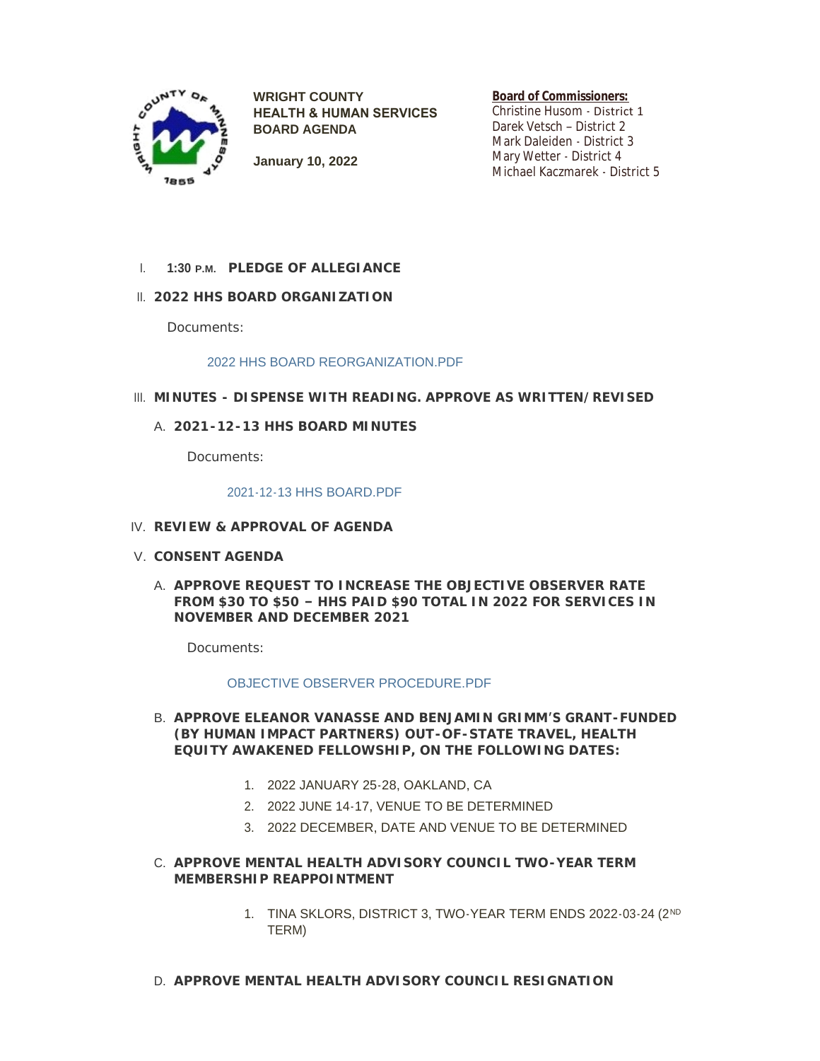

**WRIGHT COUNTY HEALTH & HUMAN SERVICES BOARD AGENDA**

**Board of Commissioners:**

Christine Husom - District 1 Darek Vetsch – District 2 Mark Daleiden - District 3 Mary Wetter - District 4 Michael Kaczmarek - District 5

- **January 10, 2022**
- **PLEDGE OF ALLEGIANCE** I. **1:30 P.M.**
- **2022 HHS BOARD ORGANIZATION** II.

Documents:

## [2022 HHS BOARD REORGANIZATION.PDF](http://www.co.wright.mn.us/AgendaCenter/ViewFile/Item/10223?fileID=21679)

- **MINUTES - DISPENSE WITH READING. APPROVE AS WRITTEN/REVISED** III.
	- **2021-12-13 HHS BOARD MINUTES** A.

Documents:

#### [2021-12-13 HHS BOARD.PDF](http://www.co.wright.mn.us/AgendaCenter/ViewFile/Item/10224?fileID=21680)

- **REVIEW & APPROVAL OF AGENDA** IV.
- **CONSENT AGENDA** V.
	- A. APPROVE REQUEST TO INCREASE THE OBJECTIVE OBSERVER RATE **FROM \$30 TO \$50 – HHS PAID \$90 TOTAL IN 2022 FOR SERVICES IN NOVEMBER AND DECEMBER 2021**

Documents:

## [OBJECTIVE OBSERVER PROCEDURE.PDF](http://www.co.wright.mn.us/AgendaCenter/ViewFile/Item/10217?fileID=21684)

- **APPROVE ELEANOR VANASSE AND BENJAMIN GRIMM'S GRANT-FUNDED**  B. **(BY HUMAN IMPACT PARTNERS) OUT-OF-STATE TRAVEL, HEALTH EQUITY AWAKENED FELLOWSHIP, ON THE FOLLOWING DATES:**
	- 1. 2022 JANUARY 25-28, OAKLAND, CA
	- 2. 2022 JUNE 14-17, VENUE TO BE DETERMINED
	- 3. 2022 DECEMBER, DATE AND VENUE TO BE DETERMINED
- **APPROVE MENTAL HEALTH ADVISORY COUNCIL TWO-YEAR TERM**  C. **MEMBERSHIP REAPPOINTMENT**
	- 1. TINA SKLORS, DISTRICT 3, TWO-YEAR TERM ENDS 2022-03-24 (2<sup>ND</sup> TERM)
- **APPROVE MENTAL HEALTH ADVISORY COUNCIL RESIGNATION** D.